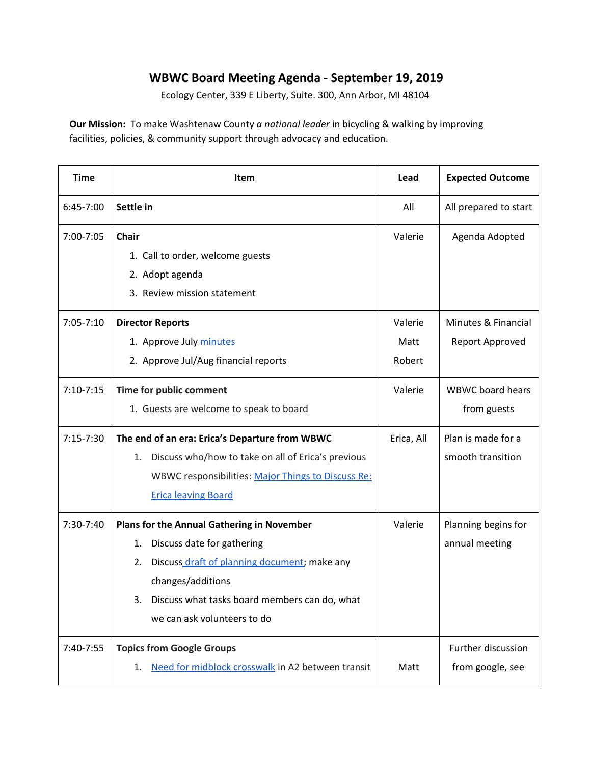## **WBWC Board Meeting Agenda - September 19, 2019**

Ecology Center, 339 E Liberty, Suite. 300, Ann Arbor, MI 48104

**Our Mission:** To make Washtenaw County *a national leader* in bicycling & walking by improving facilities, policies, & community support through advocacy and education.

| <b>Time</b>   | <b>Item</b>                                              | Lead       | <b>Expected Outcome</b> |
|---------------|----------------------------------------------------------|------------|-------------------------|
| 6:45-7:00     | Settle in                                                | All        | All prepared to start   |
| 7:00-7:05     | <b>Chair</b>                                             | Valerie    | Agenda Adopted          |
|               | 1. Call to order, welcome guests                         |            |                         |
|               | 2. Adopt agenda                                          |            |                         |
|               | 3. Review mission statement                              |            |                         |
| $7:05 - 7:10$ | <b>Director Reports</b>                                  | Valerie    | Minutes & Financial     |
|               | 1. Approve July minutes                                  | Matt       | Report Approved         |
|               | 2. Approve Jul/Aug financial reports                     | Robert     |                         |
| $7:10-7:15$   | Time for public comment                                  | Valerie    | <b>WBWC</b> board hears |
|               | 1. Guests are welcome to speak to board                  |            | from guests             |
| $7:15-7:30$   | The end of an era: Erica's Departure from WBWC           | Erica, All | Plan is made for a      |
|               | Discuss who/how to take on all of Erica's previous<br>1. |            | smooth transition       |
|               | WBWC responsibilities: Major Things to Discuss Re:       |            |                         |
|               | <b>Erica leaving Board</b>                               |            |                         |
| 7:30-7:40     | Plans for the Annual Gathering in November               | Valerie    | Planning begins for     |
|               | Discuss date for gathering<br>1.                         |            | annual meeting          |
|               | Discuss draft of planning document; make any<br>2.       |            |                         |
|               | changes/additions                                        |            |                         |
|               | Discuss what tasks board members can do, what<br>3.      |            |                         |
|               | we can ask volunteers to do                              |            |                         |
| 7:40-7:55     | <b>Topics from Google Groups</b>                         |            | Further discussion      |
|               | Need for midblock crosswalk in A2 between transit<br>1.  | Matt       | from google, see        |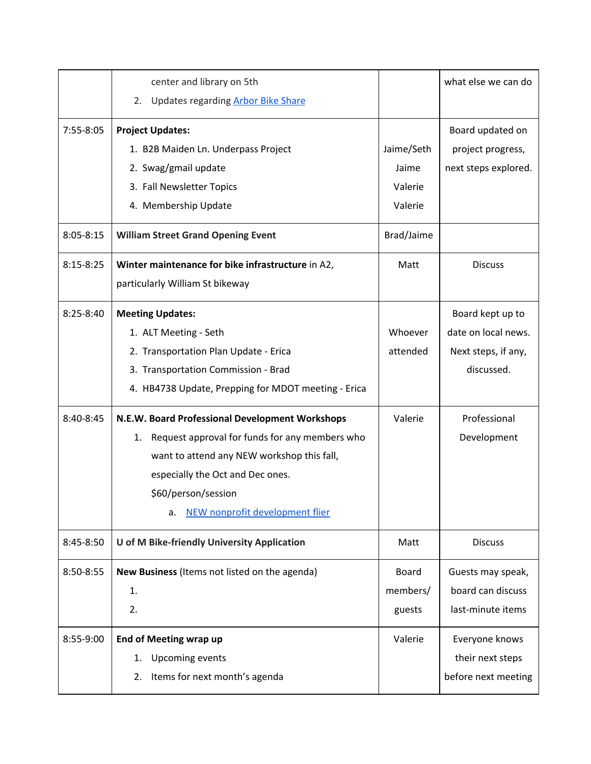|               | center and library on 5th<br>Updates regarding <b>Arbor Bike Share</b><br>2. |            | what else we can do  |
|---------------|------------------------------------------------------------------------------|------------|----------------------|
|               |                                                                              |            |                      |
| 7:55-8:05     | <b>Project Updates:</b>                                                      |            | Board updated on     |
|               | 1. B2B Maiden Ln. Underpass Project                                          | Jaime/Seth | project progress,    |
|               | 2. Swag/gmail update                                                         | Jaime      | next steps explored. |
|               | 3. Fall Newsletter Topics                                                    | Valerie    |                      |
|               | 4. Membership Update                                                         | Valerie    |                      |
| $8:05 - 8:15$ | <b>William Street Grand Opening Event</b>                                    | Brad/Jaime |                      |
| $8:15 - 8:25$ | Winter maintenance for bike infrastructure in A2,                            | Matt       | <b>Discuss</b>       |
|               | particularly William St bikeway                                              |            |                      |
| $8:25 - 8:40$ | <b>Meeting Updates:</b>                                                      |            | Board kept up to     |
|               | 1. ALT Meeting - Seth                                                        | Whoever    | date on local news.  |
|               | 2. Transportation Plan Update - Erica                                        | attended   | Next steps, if any,  |
|               | 3. Transportation Commission - Brad                                          |            | discussed.           |
|               | 4. HB4738 Update, Prepping for MDOT meeting - Erica                          |            |                      |
| 8:40-8:45     | N.E.W. Board Professional Development Workshops                              | Valerie    | Professional         |
|               | Request approval for funds for any members who<br>1.                         |            | Development          |
|               | want to attend any NEW workshop this fall,                                   |            |                      |
|               | especially the Oct and Dec ones.                                             |            |                      |
|               | \$60/person/session                                                          |            |                      |
|               | NEW nonprofit development flier<br>a.                                        |            |                      |
| 8:45-8:50     | U of M Bike-friendly University Application                                  | Matt       | <b>Discuss</b>       |
| 8:50-8:55     | New Business (Items not listed on the agenda)                                | Board      | Guests may speak,    |
|               | 1.                                                                           | members/   | board can discuss    |
|               | 2.                                                                           | guests     | last-minute items    |
| 8:55-9:00     | <b>End of Meeting wrap up</b>                                                | Valerie    | Everyone knows       |
|               | <b>Upcoming events</b><br>1.                                                 |            | their next steps     |
|               | Items for next month's agenda<br>2.                                          |            | before next meeting  |